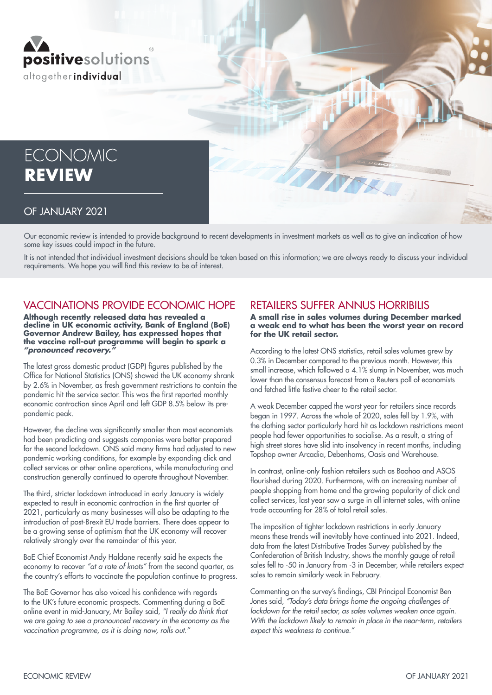

# **ECONOMIC REVIEW**

#### OF JANUARY 2021

Our economic review is intended to provide background to recent developments in investment markets as well as to give an indication of how some key issues could impact in the future.

It is not intended that individual investment decisions should be taken based on this information; we are always ready to discuss your individual requirements. We hope you will find this review to be of interest.

### VACCINATIONS PROVIDE ECONOMIC HOPE

**Although recently released data has revealed a decline in UK economic activity, Bank of England (BoE) Governor Andrew Bailey, has expressed hopes that the vaccine roll-out programme will begin to spark a**  *"pronounced recovery."*

The latest gross domestic product (GDP) figures published by the Office for National Statistics (ONS) showed the UK economy shrank by 2.6% in November, as fresh government restrictions to contain the pandemic hit the service sector. This was the first reported monthly economic contraction since April and left GDP 8.5% below its prepandemic peak.

However, the decline was significantly smaller than most economists had been predicting and suggests companies were better prepared for the second lockdown. ONS said many firms had adjusted to new pandemic working conditions, for example by expanding click and collect services or other online operations, while manufacturing and construction generally continued to operate throughout November.

The third, stricter lockdown introduced in early January is widely expected to result in economic contraction in the first quarter of 2021, particularly as many businesses will also be adapting to the introduction of post-Brexit EU trade barriers. There does appear to be a growing sense of optimism that the UK economy will recover relatively strongly over the remainder of this year.

BoE Chief Economist Andy Haldane recently said he expects the economy to recover *"at a rate of knots"* from the second quarter, as the country's efforts to vaccinate the population continue to progress.

The BoE Governor has also voiced his confidence with regards to the UK's future economic prospects. Commenting during a BoE online event in mid-January, Mr Bailey said, *"I really do think that we are going to see a pronounced recovery in the economy as the vaccination programme, as it is doing now, rolls out."*

### RETAILERS SUFFER ANNUS HORRIBILIS

**A small rise in sales volumes during December marked a weak end to what has been the worst year on record for the UK retail sector.**

According to the latest ONS statistics, retail sales volumes grew by 0.3% in December compared to the previous month. However, this small increase, which followed a 4.1% slump in November, was much lower than the consensus forecast from a Reuters poll of economists and fetched little festive cheer to the retail sector.

A weak December capped the worst year for retailers since records began in 1997. Across the whole of 2020, sales fell by 1.9%, with the clothing sector particularly hard hit as lockdown restrictions meant people had fewer opportunities to socialise. As a result, a string of high street stores have slid into insolvency in recent months, including Topshop owner Arcadia, Debenhams, Oasis and Warehouse.

In contrast, online-only fashion retailers such as Boohoo and ASOS flourished during 2020. Furthermore, with an increasing number of people shopping from home and the growing popularity of click and collect services, last year saw a surge in all internet sales, with online trade accounting for 28% of total retail sales.

The imposition of tighter lockdown restrictions in early January means these trends will inevitably have continued into 2021. Indeed, data from the latest Distributive Trades Survey published by the Confederation of British Industry, shows the monthly gauge of retail sales fell to -50 in January from -3 in December, while retailers expect sales to remain similarly weak in February.

Commenting on the survey's findings, CBI Principal Economist Ben Jones said, *"Today's data brings home the ongoing challenges of lockdown for the retail sector, as sales volumes weaken once again. With the lockdown likely to remain in place in the near-term, retailers expect this weakness to continue."*